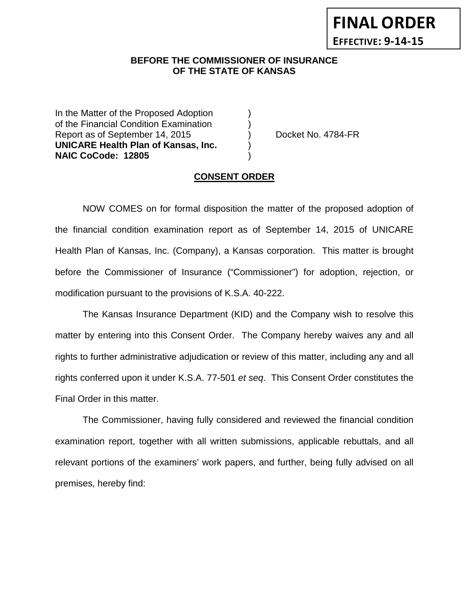**FINAL ORDER EFFECTIVE: 9-14-15**

## **BEFORE THE COMMISSIONER OF INSURANCE OF THE STATE OF KANSAS**

In the Matter of the Proposed Adoption of the Financial Condition Examination ) Report as of September 14, 2015 (a) Docket No. 4784-FR **UNICARE Health Plan of Kansas, Inc.** ) **NAIC CoCode: 12805** )

### **CONSENT ORDER**

NOW COMES on for formal disposition the matter of the proposed adoption of the financial condition examination report as of September 14, 2015 of UNICARE Health Plan of Kansas, Inc. (Company), a Kansas corporation. This matter is brought before the Commissioner of Insurance ("Commissioner") for adoption, rejection, or modification pursuant to the provisions of K.S.A. 40-222.

The Kansas Insurance Department (KID) and the Company wish to resolve this matter by entering into this Consent Order. The Company hereby waives any and all rights to further administrative adjudication or review of this matter, including any and all rights conferred upon it under K.S.A. 77-501 *et seq*. This Consent Order constitutes the Final Order in this matter.

The Commissioner, having fully considered and reviewed the financial condition examination report, together with all written submissions, applicable rebuttals, and all relevant portions of the examiners' work papers, and further, being fully advised on all premises, hereby find: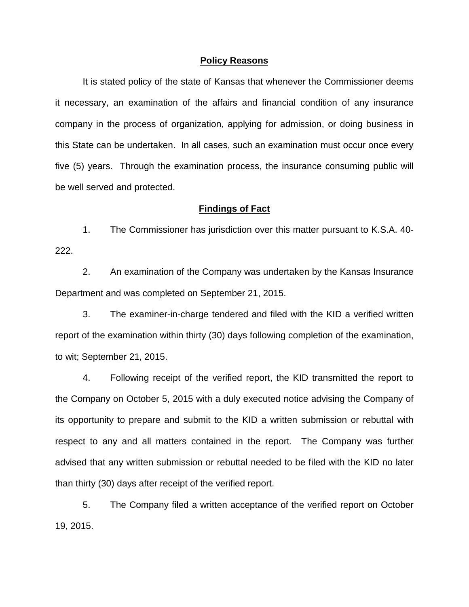#### **Policy Reasons**

It is stated policy of the state of Kansas that whenever the Commissioner deems it necessary, an examination of the affairs and financial condition of any insurance company in the process of organization, applying for admission, or doing business in this State can be undertaken. In all cases, such an examination must occur once every five (5) years. Through the examination process, the insurance consuming public will be well served and protected.

#### **Findings of Fact**

1. The Commissioner has jurisdiction over this matter pursuant to K.S.A. 40- 222.

2. An examination of the Company was undertaken by the Kansas Insurance Department and was completed on September 21, 2015.

3. The examiner-in-charge tendered and filed with the KID a verified written report of the examination within thirty (30) days following completion of the examination, to wit; September 21, 2015.

4. Following receipt of the verified report, the KID transmitted the report to the Company on October 5, 2015 with a duly executed notice advising the Company of its opportunity to prepare and submit to the KID a written submission or rebuttal with respect to any and all matters contained in the report. The Company was further advised that any written submission or rebuttal needed to be filed with the KID no later than thirty (30) days after receipt of the verified report.

5. The Company filed a written acceptance of the verified report on October 19, 2015.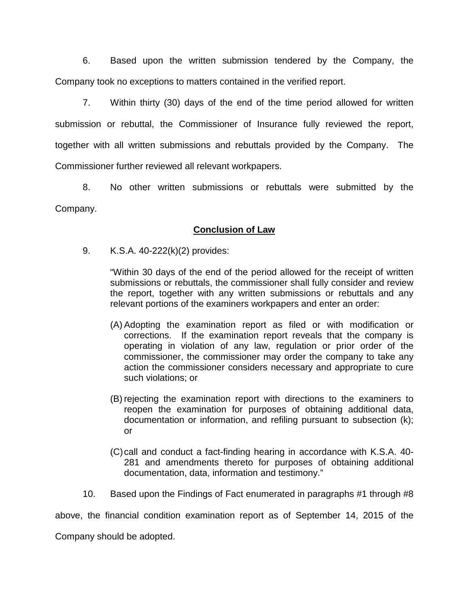6. Based upon the written submission tendered by the Company, the Company took no exceptions to matters contained in the verified report.

7. Within thirty (30) days of the end of the time period allowed for written submission or rebuttal, the Commissioner of Insurance fully reviewed the report, together with all written submissions and rebuttals provided by the Company. The Commissioner further reviewed all relevant workpapers.

8. No other written submissions or rebuttals were submitted by the Company.

## **Conclusion of Law**

9. K.S.A. 40-222(k)(2) provides:

"Within 30 days of the end of the period allowed for the receipt of written submissions or rebuttals, the commissioner shall fully consider and review the report, together with any written submissions or rebuttals and any relevant portions of the examiners workpapers and enter an order:

- (A) Adopting the examination report as filed or with modification or corrections. If the examination report reveals that the company is operating in violation of any law, regulation or prior order of the commissioner, the commissioner may order the company to take any action the commissioner considers necessary and appropriate to cure such violations; or
- (B) rejecting the examination report with directions to the examiners to reopen the examination for purposes of obtaining additional data, documentation or information, and refiling pursuant to subsection (k); or
- (C)call and conduct a fact-finding hearing in accordance with K.S.A. 40- 281 and amendments thereto for purposes of obtaining additional documentation, data, information and testimony."
- 10. Based upon the Findings of Fact enumerated in paragraphs #1 through #8

above, the financial condition examination report as of September 14, 2015 of the

Company should be adopted.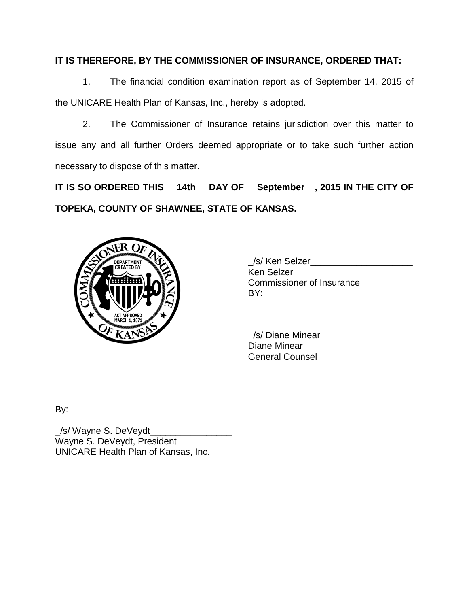# **IT IS THEREFORE, BY THE COMMISSIONER OF INSURANCE, ORDERED THAT:**

1. The financial condition examination report as of September 14, 2015 of the UNICARE Health Plan of Kansas, Inc., hereby is adopted.

2. The Commissioner of Insurance retains jurisdiction over this matter to issue any and all further Orders deemed appropriate or to take such further action necessary to dispose of this matter.

**IT IS SO ORDERED THIS \_\_14th\_\_ DAY OF \_\_September\_\_, 2015 IN THE CITY OF TOPEKA, COUNTY OF SHAWNEE, STATE OF KANSAS.**



\_/s/ Ken Selzer\_\_\_\_\_\_\_\_\_\_\_\_\_\_\_\_\_\_\_\_ Ken Selzer Commissioner of Insurance BY:

\_/s/ Diane Minear\_\_\_\_\_\_\_\_\_\_\_\_\_\_\_\_\_\_ Diane Minear General Counsel

By:

\_/s/ Wayne S. DeVeydt\_\_\_\_\_\_\_\_\_\_\_\_\_\_\_\_ Wayne S. DeVeydt, President UNICARE Health Plan of Kansas, Inc.